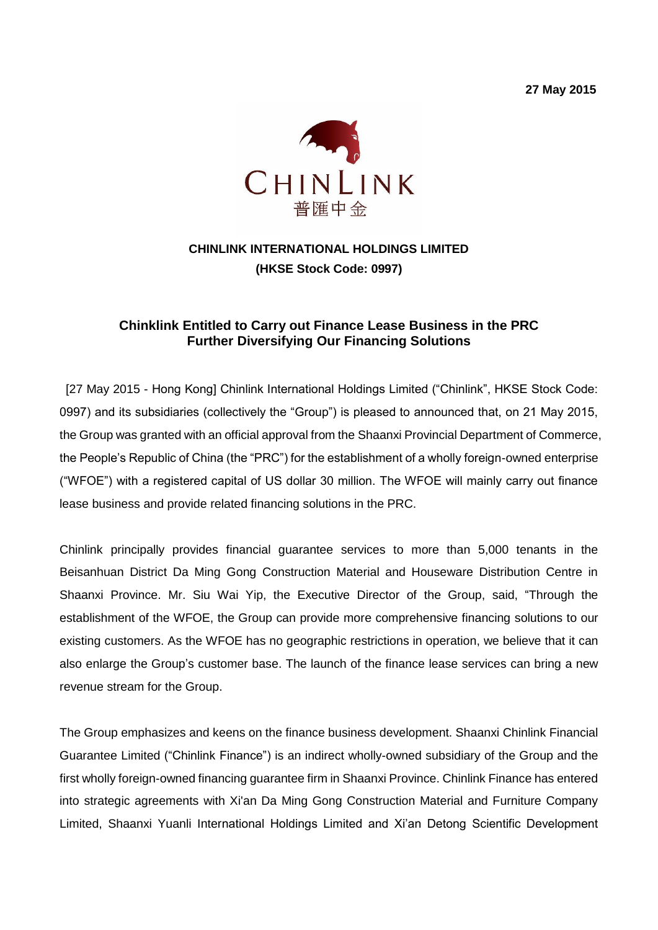**27 May 2015**



# **CHINLINK INTERNATIONAL HOLDINGS LIMITED (HKSE Stock Code: 0997)**

## **Chinklink Entitled to Carry out Finance Lease Business in the PRC Further Diversifying Our Financing Solutions**

[27 May 2015 - Hong Kong] Chinlink International Holdings Limited ("Chinlink", HKSE Stock Code: 0997) and its subsidiaries (collectively the "Group") is pleased to announced that, on 21 May 2015, the Group was granted with an official approval from the Shaanxi Provincial Department of Commerce, the People's Republic of China (the "PRC") for the establishment of a wholly foreign-owned enterprise ("WFOE") with a registered capital of US dollar 30 million. The WFOE will mainly carry out finance lease business and provide related financing solutions in the PRC.

Chinlink principally provides financial guarantee services to more than 5,000 tenants in the Beisanhuan District Da Ming Gong Construction Material and Houseware Distribution Centre in Shaanxi Province. Mr. Siu Wai Yip, the Executive Director of the Group, said, "Through the establishment of the WFOE, the Group can provide more comprehensive financing solutions to our existing customers. As the WFOE has no geographic restrictions in operation, we believe that it can also enlarge the Group's customer base. The launch of the finance lease services can bring a new revenue stream for the Group.

The Group emphasizes and keens on the finance business development. Shaanxi Chinlink Financial Guarantee Limited ("Chinlink Finance") is an indirect wholly-owned subsidiary of the Group and the first wholly foreign-owned financing guarantee firm in Shaanxi Province. Chinlink Finance has entered into strategic agreements with Xi'an Da Ming Gong Construction Material and Furniture Company Limited, Shaanxi Yuanli International Holdings Limited and Xi'an Detong Scientific Development